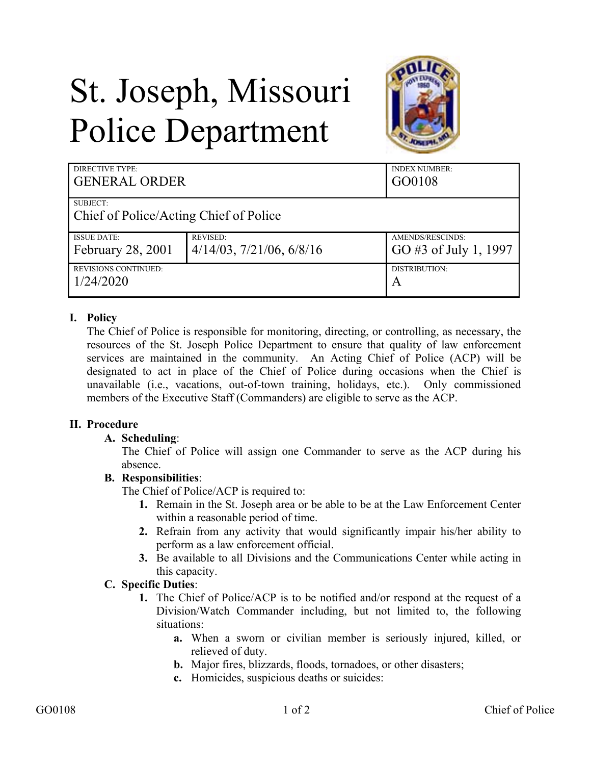# St. Joseph, Missouri Police Department



| <b>DIRECTIVE TYPE:</b><br><b>GENERAL ORDER</b> |                                  | <b>INDEX NUMBER:</b><br>GO0108 |
|------------------------------------------------|----------------------------------|--------------------------------|
| SUBJECT:                                       |                                  |                                |
| <b>Chief of Police/Acting Chief of Police</b>  |                                  |                                |
| <b>ISSUE DATE:</b>                             | <b>REVISED:</b>                  | AMENDS/RESCINDS:               |
| February 28, 2001                              | $4/14/03$ , $7/21/06$ , $6/8/16$ | GO#3 of July 1, 1997           |
| <b>REVISIONS CONTINUED:</b>                    |                                  | DISTRIBUTION:                  |
| 1/24/2020                                      |                                  | A                              |

# **I. Policy**

The Chief of Police is responsible for monitoring, directing, or controlling, as necessary, the resources of the St. Joseph Police Department to ensure that quality of law enforcement services are maintained in the community. An Acting Chief of Police (ACP) will be designated to act in place of the Chief of Police during occasions when the Chief is unavailable (i.e., vacations, out-of-town training, holidays, etc.). Only commissioned members of the Executive Staff (Commanders) are eligible to serve as the ACP.

### **II. Procedure**

### **A. Scheduling**:

The Chief of Police will assign one Commander to serve as the ACP during his absence.

### **B. Responsibilities**:

The Chief of Police/ACP is required to:

- **1.** Remain in the St. Joseph area or be able to be at the Law Enforcement Center within a reasonable period of time.
- **2.** Refrain from any activity that would significantly impair his/her ability to perform as a law enforcement official.
- **3.** Be available to all Divisions and the Communications Center while acting in this capacity.

### **C. Specific Duties**:

- **1.** The Chief of Police/ACP is to be notified and/or respond at the request of a Division/Watch Commander including, but not limited to, the following situations:
	- **a.** When a sworn or civilian member is seriously injured, killed, or relieved of duty.
	- **b.** Major fires, blizzards, floods, tornadoes, or other disasters;
	- **c.** Homicides, suspicious deaths or suicides: